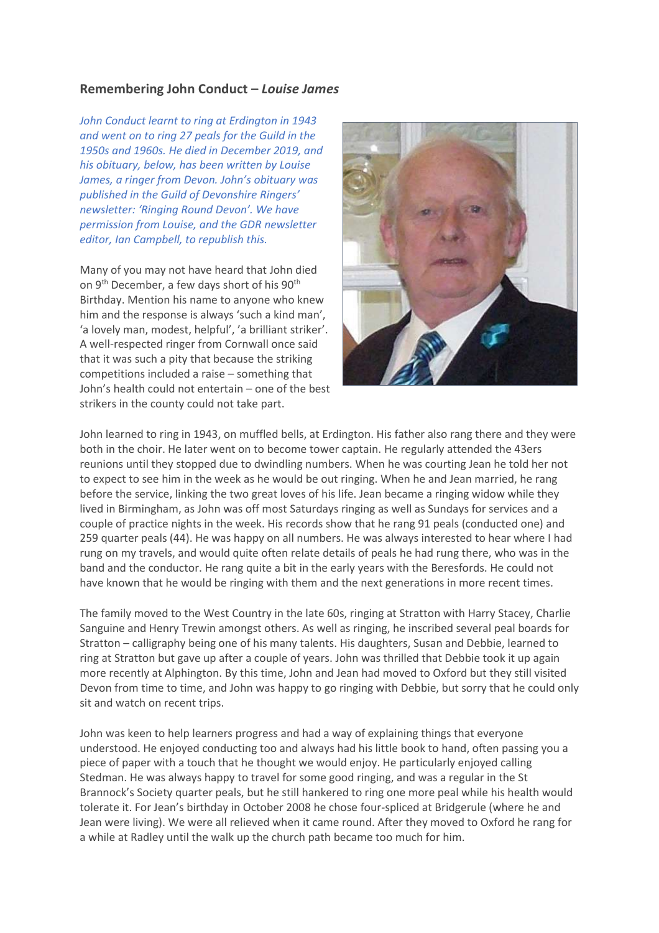## **Remembering John Conduct –** *Louise James*

*John Conduct learnt to ring at Erdington in 1943 and went on to ring 27 peals for the Guild in the 1950s and 1960s. He died in December 2019, and his obituary, below, has been written by Louise James, a ringer from Devon. John's obituary was published in the Guild of Devonshire Ringers' newsletter: 'Ringing Round Devon'. We have permission from Louise, and the GDR newsletter editor, Ian Campbell, to republish this.*

Many of you may not have heard that John died on 9<sup>th</sup> December, a few days short of his 90<sup>th</sup> Birthday. Mention his name to anyone who knew him and the response is always 'such a kind man', 'a lovely man, modest, helpful', 'a brilliant striker'. A well-respected ringer from Cornwall once said that it was such a pity that because the striking competitions included a raise – something that John's health could not entertain – one of the best strikers in the county could not take part.



John learned to ring in 1943, on muffled bells, at Erdington. His father also rang there and they were both in the choir. He later went on to become tower captain. He regularly attended the 43ers reunions until they stopped due to dwindling numbers. When he was courting Jean he told her not to expect to see him in the week as he would be out ringing. When he and Jean married, he rang before the service, linking the two great loves of his life. Jean became a ringing widow while they lived in Birmingham, as John was off most Saturdays ringing as well as Sundays for services and a couple of practice nights in the week. His records show that he rang 91 peals (conducted one) and 259 quarter peals (44). He was happy on all numbers. He was always interested to hear where I had rung on my travels, and would quite often relate details of peals he had rung there, who was in the band and the conductor. He rang quite a bit in the early years with the Beresfords. He could not have known that he would be ringing with them and the next generations in more recent times.

The family moved to the West Country in the late 60s, ringing at Stratton with Harry Stacey, Charlie Sanguine and Henry Trewin amongst others. As well as ringing, he inscribed several peal boards for Stratton – calligraphy being one of his many talents. His daughters, Susan and Debbie, learned to ring at Stratton but gave up after a couple of years. John was thrilled that Debbie took it up again more recently at Alphington. By this time, John and Jean had moved to Oxford but they still visited Devon from time to time, and John was happy to go ringing with Debbie, but sorry that he could only sit and watch on recent trips.

John was keen to help learners progress and had a way of explaining things that everyone understood. He enjoyed conducting too and always had his little book to hand, often passing you a piece of paper with a touch that he thought we would enjoy. He particularly enjoyed calling Stedman. He was always happy to travel for some good ringing, and was a regular in the St Brannock's Society quarter peals, but he still hankered to ring one more peal while his health would tolerate it. For Jean's birthday in October 2008 he chose four-spliced at Bridgerule (where he and Jean were living). We were all relieved when it came round. After they moved to Oxford he rang for a while at Radley until the walk up the church path became too much for him.